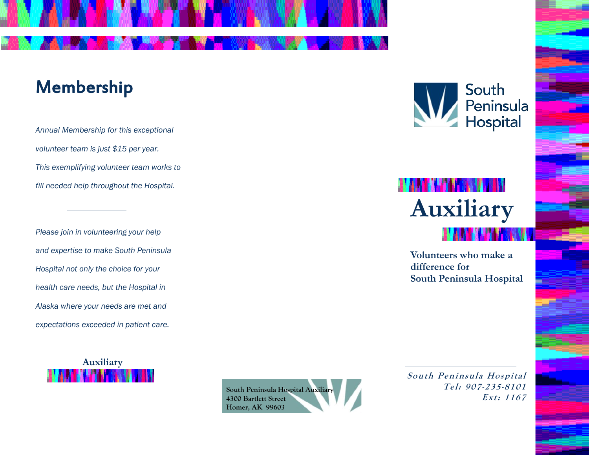## Membership

Annual Membership for this exceptional volunteer team is just \$15 per year. This exemplifying volunteer team works to fill needed help throughout the Hospital.

Please join in volunteering your help and expertise to make South Peninsula Hospital not only the choice for your health care needs, but the Hospital in Alaska where your needs are met and expectations exceeded in patient care.





South Peninsula<br>Hospital

## **Auxiliary**

Volunteers who make a difference for South Peninsula Hospital

South Peninsula Hospital Tel: 907-235-8101 Ext: 1167